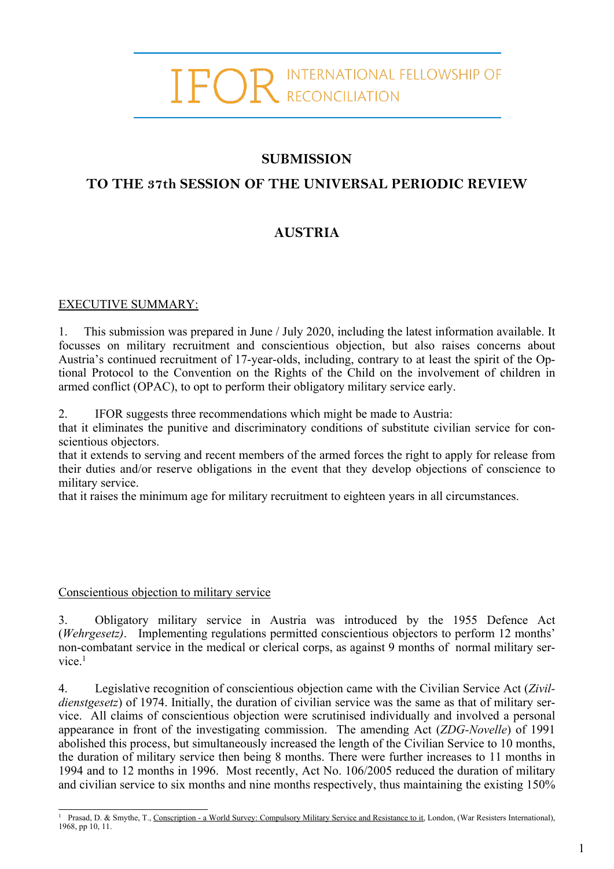# IFOR INTERNATIONAL FELLOWSHIP OF

### **SUBMISSION**

## **TO THE 37th SESSION OF THE UNIVERSAL PERIODIC REVIEW**

# **AUSTRIA**

#### EXECUTIVE SUMMARY:

1. This submission was prepared in June / July 2020, including the latest information available. It focusses on military recruitment and conscientious objection, but also raises concerns about Austria'<sup>s</sup> continued recruitment of 17-year-olds, including, contrary to at least the spirit of the Optional Protocol to the Convention on the Rights of the Child on the involvement of children in armed conflict (OPAC), to op<sup>t</sup> to perform their obligatory military service early.

2. IFOR suggests three recommendations which might be made to Austria:

that it eliminates the punitive and discriminatory conditions of substitute civilian service for conscientious objectors.

that it extends to serving and recent members of the armed forces the right to apply for release from their duties and/or reserve obligations in the event that they develop objections of conscience to military service.

that it raises the minimum age for military recruitment to eighteen years in all circumstances.

#### Conscientious objection to military service

3. Obligatory military service in Austria was introduced by the 1955 Defence Act (*Wehrgesetz)*. Implementing regulations permitted conscientious objectors to perform 12 months' non-combatant service in the medical or clerical corps, as against 9 months of normal military service. 1

4. Legislative recognition of conscientious objection came with the Civilian Service Act (*Zivildienstgesetz*) of 1974. Initially, the duration of civilian service was the same as that of military service. All claims of conscientious objection were scrutinised individually and involved <sup>a</sup> personal appearance in front of the investigating commission. The amending Act (*ZDG-Novelle*) of 1991 abolished this process, but simultaneously increased the length of the Civilian Service to 10 months, the duration of military service then being 8 months. There were further increases to 11 months in 1994 and to 12 months in 1996. Most recently, Act No. 106/2005 reduced the duration of military and civilian service to six months and nine months respectively, thus maintaining the existing 150%

<sup>&</sup>lt;sup>1</sup> Prasad, D. & Smythe, T., Conscription - a World Survey: Compulsory Military Service and Resistance to it, London, (War Resisters International), 1968, pp 10, 11.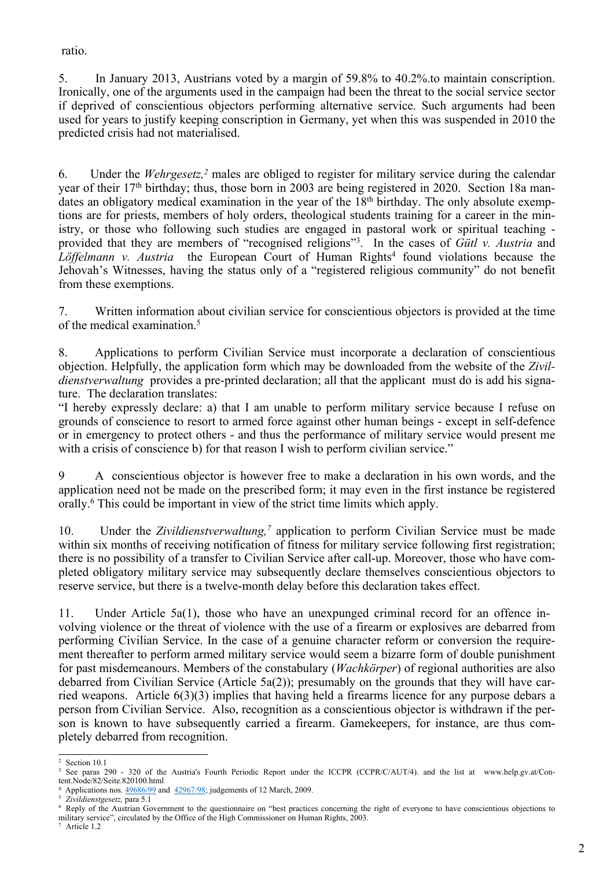ratio.

5. In January 2013, Austrians voted by <sup>a</sup> margin of 59.8% to 40.2%.to maintain conscription. Ironically, one of the arguments used in the campaign had been the threat to the social service sector if deprived of conscientious objectors performing alternative service. Such arguments had been used for years to justify keeping conscription in Germany, ye<sup>t</sup> when this was suspended in 2010 the predicted crisis had not materialised.

6. Under the *Wehrgesetz, <sup>2</sup>* males are obliged to register for military service during the calendar year of their 17<sup>th</sup> birthday; thus, those born in 2003 are being registered in 2020. Section 18a mandates an obligatory medical examination in the year of the 18<sup>th</sup> birthday. The only absolute exemptions are for priests, members of holy orders, theological students training for <sup>a</sup> career in the ministry, or those who following such studies are engaged in pastoral work or spiritual teaching provided that they are members of "recognised religions"<sup>3</sup> . In the cases of *Gütl v. Austria* and Löffelmann *v. Austria* the European Court of Human Rights<sup>4</sup> found violations because the Jehovah'<sup>s</sup> Witnesses, having the status only of <sup>a</sup> "registered religious community" do not benefit from these exemptions.

7. Written information about civilian service for conscientious objectors is provided at the time of the medical examination. 5

8. Applications to perform Civilian Service must incorporate <sup>a</sup> declaration of conscientious objection. Helpfully, the application form which may be downloaded from the website of the *Zivildienstverwaltung* provides a pre-printed declaration; all that the applicant must do is add his signature. The declaration translates:

"I hereby expressly declare: a) that I am unable to perform military service because I refuse on grounds of conscience to resort to armed force against other human beings - excep<sup>t</sup> in self-defence or in emergency to protect others - and thus the performance of military service would presen<sup>t</sup> me with a crisis of conscience b) for that reason I wish to perform civilian service."

9 A conscientious objector is however free to make <sup>a</sup> declaration in his own words, and the application need not be made on the prescribed form; it may even in the first instance be registered orally. 6 This could be important in view of the strict time limits which apply.

10. Under the *Zivildienstverwaltung*,<sup>7</sup> application to perform Civilian Service must be made within six months of receiving notification of fitness for military service following first registration; there is no possibility of <sup>a</sup> transfer to Civilian Service after call-up. Moreover, those who have completed obligatory military service may subsequently declare themselves conscientious objectors to reserve service, but there is <sup>a</sup> twelve-month delay before this declaration takes effect.

11. Under Article 5a(1), those who have an unexpunged criminal record for an offence involving violence or the threat of violence with the use of <sup>a</sup> firearm or explosives are debarred from performing Civilian Service. In the case of <sup>a</sup> genuine character reform or conversion the requirement thereafter to perform armed military service would seem <sup>a</sup> bizarre form of double punishment for pas<sup>t</sup> misdemeanours. Members of the constabulary (*Wachkörper*) of regional authorities are also debarred from Civilian Service (Article 5a(2)); presumably on the grounds that they will have carried weapons. Article 6(3)(3) implies that having held <sup>a</sup> firearms licence for any purpose debars <sup>a</sup> person from Civilian Service. Also, recognition as <sup>a</sup> conscientious objector is withdrawn if the person is known to have subsequently carried <sup>a</sup> firearm. Gamekeepers, for instance, are thus completely debarred from recognition.

<sup>2</sup> Section 10.1

<sup>&</sup>lt;sup>3</sup> See paras 290 - 320 of the Austria's Fourth Periodic Report under the ICCPR (CCPR/C/AUT/4). and the list at www.help.gv.at/Content.Node/82/Seite.820100.html

<sup>4</sup> Applications nos. [49686/99](http://hudoc.echr.coe.int/sites/eng/Pages/search.aspx#{) and [42967/98](http://hudoc.echr.coe.int/sites/eng/Pages/search.aspx#{); judgements of <sup>12</sup> March, 2009.

<sup>5</sup> *Zivildienstgesetz,* para 5.1

<sup>&</sup>lt;sup>6</sup> Reply of the Austrian Government to the questionnaire on "best practices concerning the right of everyone to have conscientious objections to military service", circulated by the Office of the High Commissioner on Human Rights, 2003.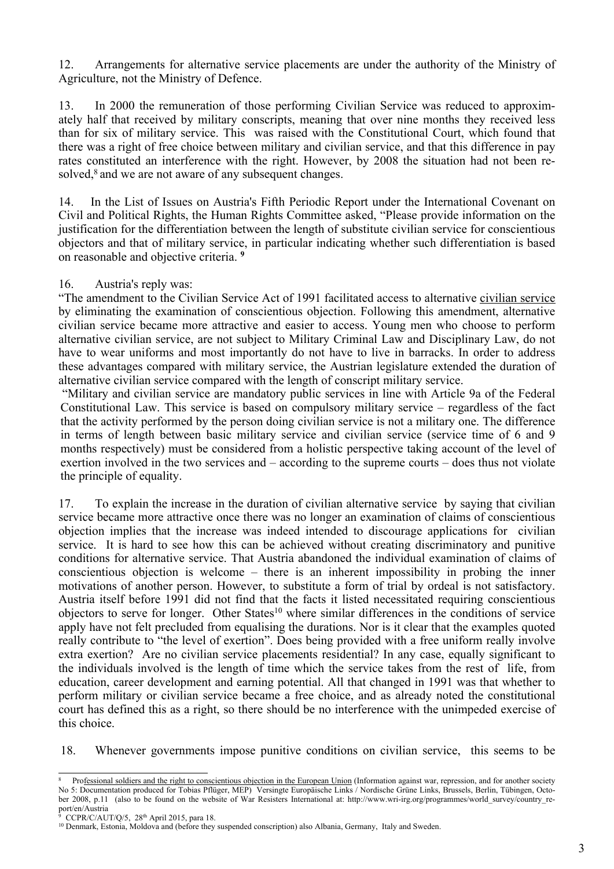12. Arrangements for alternative service placements are under the authority of the Ministry of Agriculture, not the Ministry of Defence.

13. In 2000 the remuneration of those performing Civilian Service was reduced to approximately half that received by military conscripts, meaning that over nine months they received less than for six of military service. This was raised with the Constitutional Court, which found that there was <sup>a</sup> right of free choice between military and civilian service, and that this difference in pay rates constituted an interference with the right. However, by 2008 the situation had not been resolved, 8 and we are not aware of any subsequent changes.

14. In the List of Issues on Austria's Fifth Periodic Report under the International Covenant on Civil and Political Rights, the Human Rights Committee asked, "Please provide information on the justification for the differentiation between the length of substitute civilian service for conscientious objectors and that of military service, in particular indicating whether such differentiation is based on reasonable and objective criteria. **9**

#### 16. Austria's reply was:

"The amendment to the Civilian Service Act of 1991 facilitated access to alternative civilian service by eliminating the examination of conscientious objection. Following this amendment, alternative civilian service became more attractive and easier to access. Young men who choose to perform alternative civilian service, are not subject to Military Criminal Law and Disciplinary Law, do not have to wear uniforms and most importantly do not have to live in barracks. In order to address these advantages compared with military service, the Austrian legislature extended the duration of alternative civilian service compared with the length of conscript military service.

"Military and civilian service are mandatory public services in line with Article 9a of the Federal Constitutional Law. This service is based on compulsory military service – regardless of the fact that the activity performed by the person doing civilian service is not <sup>a</sup> military one. The difference in terms of length between basic military service and civilian service (service time of 6 and 9 months respectively) must be considered from <sup>a</sup> holistic perspective taking account of the level of exertion involved in the two services and – according to the supreme courts – does thus not violate the principle of equality.

17. To explain the increase in the duration of civilian alternative service by saying that civilian service became more attractive once there was no longer an examination of claims of conscientious objection implies that the increase was indeed intended to discourage applications for civilian service. It is hard to see how this can be achieved without creating discriminatory and punitive conditions for alternative service. That Austria abandoned the individual examination of claims of conscientious objection is welcome – there is an inherent impossibility in probing the inner motivations of another person. However, to substitute <sup>a</sup> form of trial by ordeal is not satisfactory. Austria itself before 1991 did not find that the facts it listed necessitated requiring conscientious objectors to serve for longer. Other States<sup>10</sup> where similar differences in the conditions of service apply have not felt precluded from equalising the durations. Nor is it clear that the examples quoted really contribute to "the level of exertion". Does being provided with <sup>a</sup> free uniform really involve extra exertion? Are no civilian service placements residential? In any case, equally significant to the individuals involved is the length of time which the service takes from the rest of life, from education, career development and earning potential. All that changed in 1991 was that whether to perform military or civilian service became <sup>a</sup> free choice, and as already noted the constitutional court has defined this as <sup>a</sup> right, so there should be no interference with the unimpeded exercise of this choice.

18. Whenever governments impose punitive conditions on civilian service, this seems to be

CCPR/C/AUT/Q/5, 28<sup>th</sup> April 2015, para 18.

<sup>8</sup> Professional soldiers and the right to conscientious objection in the European Union (Information against war, repression, and for another society No 5: Documentation produced for Tobias Pflüger, MEP) Versingte Europäische Links / Nordische Grüne Links, Brussels, Berlin, Tübingen, October 2008, p.11 (also to be found on the website of War Resisters International at: http://www.wri-irg.org/programmes/world\_survey/country\_report/en/Austria

<sup>10</sup> Denmark, Estonia, Moldova and (before they suspended conscription) also Albania, Germany, Italy and Sweden.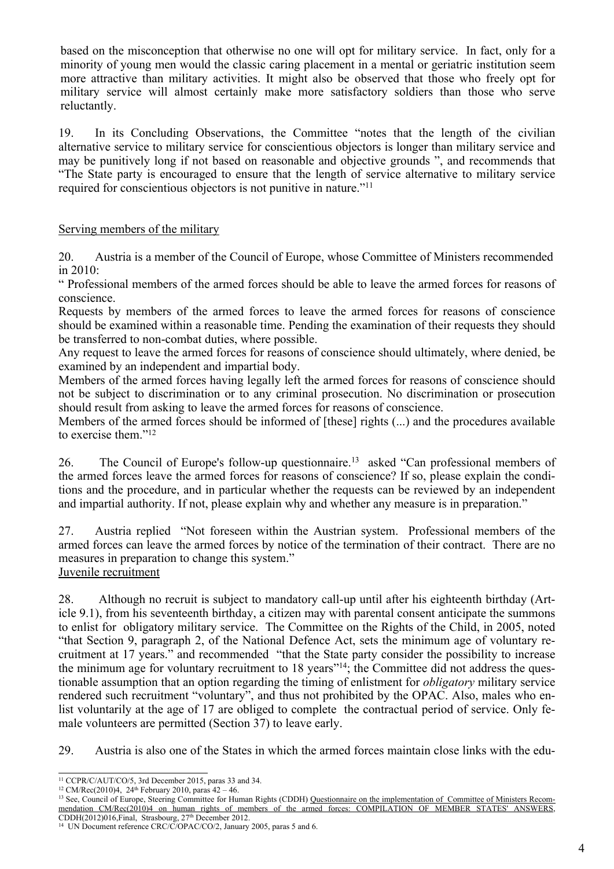based on the misconception that otherwise no one will op<sup>t</sup> for military service. In fact, only for <sup>a</sup> minority of young men would the classic caring placement in <sup>a</sup> mental or geriatric institution seem more attractive than military activities. It might also be observed that those who freely op<sup>t</sup> for military service will almost certainly make more satisfactory soldiers than those who serve reluctantly.

19. In its Concluding Observations, the Committee "notes that the length of the civilian alternative service to military service for conscientious objectors is longer than military service and may be punitively long if not based on reasonable and objective grounds ", and recommends that "The State party is encouraged to ensure that the length of service alternative to military service required for conscientious objectors is not punitive in nature."<sup>11</sup>

#### Serving members of the military

20. Austria is <sup>a</sup> member of the Council of Europe, whose Committee of Ministers recommended in 2010:

" Professional members of the armed forces should be able to leave the armed forces for reasons of conscience.

Requests by members of the armed forces to leave the armed forces for reasons of conscience should be examined within <sup>a</sup> reasonable time. Pending the examination of their requests they should be transferred to non-combat duties, where possible.

Any reques<sup>t</sup> to leave the armed forces for reasons of conscience should ultimately, where denied, be examined by an independent and impartial body.

Members of the armed forces having legally left the armed forces for reasons of conscience should not be subject to discrimination or to any criminal prosecution. No discrimination or prosecution should result from asking to leave the armed forces for reasons of conscience.

Members of the armed forces should be informed of [these] rights (...) and the procedures available to exercise them."<sup>12</sup>

26. The Council of Europe's follow-up questionnaire.<sup>13</sup> asked "Can professional members of the armed forces leave the armed forces for reasons of conscience? If so, please explain the conditions and the procedure, and in particular whether the requests can be reviewed by an independent and impartial authority. If not, please explain why and whether any measure is in preparation."

27. Austria replied "Not foreseen within the Austrian system. Professional members of the armed forces can leave the armed forces by notice of the termination of their contract. There are no measures in preparation to change this system." Juvenile recruitment

28. Although no recruit is subject to mandatory call-up until after his eighteenth birthday (Article 9.1), from his seventeenth birthday, <sup>a</sup> citizen may with parental consent anticipate the summons to enlist for obligatory military service. The Committee on the Rights of the Child, in 2005, noted "that Section 9, paragraph 2, of the National Defence Act, sets the minimum age of voluntary recruitment at 17 years." and recommended "that the State party consider the possibility to increase the minimum age for voluntary recruitment to 18 years"<sup>14</sup>; the Committee did not address the questionable assumption that an option regarding the timing of enlistment for *obligatory* military service rendered such recruitment "voluntary", and thus not prohibited by the OPAC. Also, males who enlist voluntarily at the age of 17 are obliged to complete the contractual period of service. Only female volunteers are permitted (Section 37) to leave early.

29. Austria is also one of the States in which the armed forces maintain close links with the edu-

<sup>11</sup> CCPR/C/AUT/CO/5, 3rd December 2015, paras 33 and 34.

 $12$  CM/Rec(2010)4, 24<sup>th</sup> February 2010, paras  $42 - 46$ .

<sup>&</sup>lt;sup>13</sup> See, Council of Europe, Steering Committee for Human Rights (CDDH) Questionnaire on the implementation of Committee of Ministers Recommendation CM/Rec(2010)4 on human rights of members of the armed forces: COMPILATION OF MEMBER STATES' ANSWERS, CDDH(2012)016,Final, Strasbourg, 27th December 2012.

<sup>&</sup>lt;sup>14</sup> UN Document reference CRC/C/OPAC/CO/2, January 2005, paras 5 and 6.